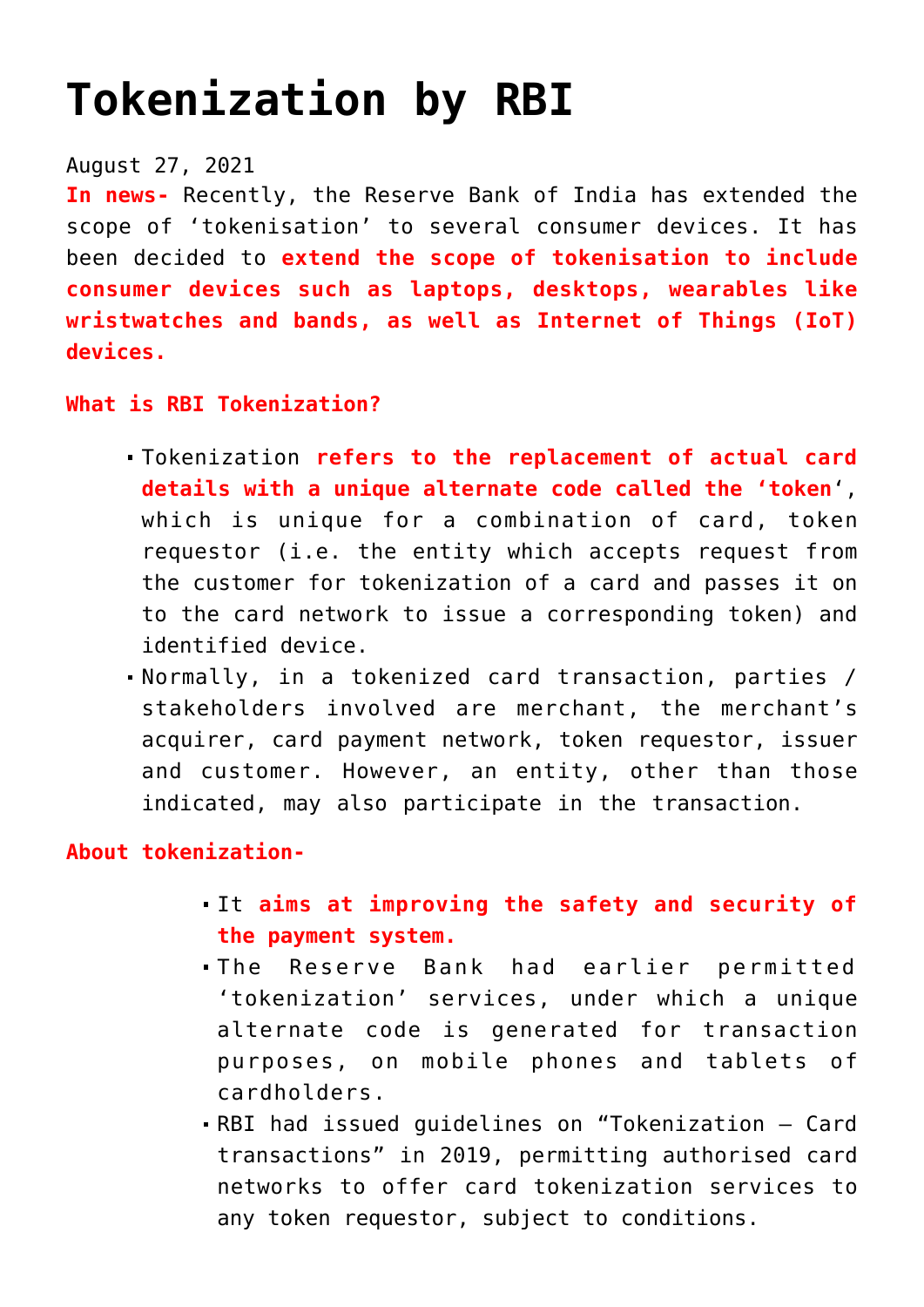# **[Tokenization by RBI](https://journalsofindia.com/tokenization-by-rbi/)**

## August 27, 2021

**In news-** Recently, the Reserve Bank of India has extended the scope of 'tokenisation' to several consumer devices. It has been decided to **extend the scope of tokenisation to include consumer devices such as laptops, desktops, wearables like wristwatches and bands, as well as Internet of Things (IoT) devices.**

#### **What is RBI Tokenization?**

- Tokenization **refers to the replacement of actual card details with a unique alternate code called the 'token**', which is unique for a combination of card, token requestor (i.e. the entity which accepts request from the customer for tokenization of a card and passes it on to the card network to issue a corresponding token) and identified device.
- Normally, in a tokenized card transaction, parties / stakeholders involved are merchant, the merchant's acquirer, card payment network, token requestor, issuer and customer. However, an entity, other than those indicated, may also participate in the transaction.

### **About tokenization-**

- It **aims at improving the safety and security of the payment system.**
- The Reserve Bank had earlier permitted 'tokenization' services, under which a unique alternate code is generated for transaction purposes, on mobile phones and tablets of cardholders.
- RBI had issued guidelines on "Tokenization Card transactions" in 2019, permitting authorised card networks to offer card tokenization services to any token requestor, subject to conditions.